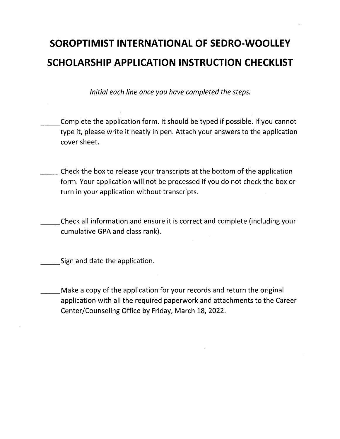## **SOROPTIMIST INTERNATIONAL OF SEDRO-WOOLLEV SCHOLARSHIP APPLICATION INSTRUCTION CHECKLIST**

Initial each line once you have completed the steps.

- \_\_Complete the application form. It should be typed if possible. If you cannot type it, please write it neatly in pen. Attach your answers to the application cover sheet.
- \_\_Check the box to release your transcripts at the bottom of the application form. Your application will not be processed if you do not check the box or turn in your application without transcripts.
- -- Check all information and ensure it is correct and complete (including your cumulative GPA and class rank).

Sign and date the application.

Make a copy of the application for your records and return the original application with all the required paperwork and attachments to the Career Center/Counseling Office by Friday, March 18, 2022.